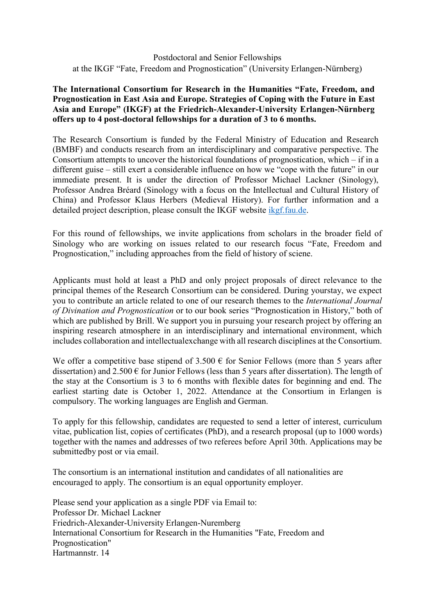Postdoctoral and Senior Fellowships at the IKGF "Fate, Freedom and Prognostication" (University Erlangen-Nürnberg)

## **The International Consortium for Research in the Humanities "Fate, Freedom, and Prognostication in East Asia and Europe. Strategies of Coping with the Future in East Asia and Europe" (IKGF) at the Friedrich-Alexander-University Erlangen-Nürnberg offers up to 4 post-doctoral fellowships for a duration of 3 to 6 months.**

The Research Consortium is funded by the Federal Ministry of Education and Research (BMBF) and conducts research from an interdisciplinary and comparative perspective. The Consortium attempts to uncover the historical foundations of prognostication, which – if in a different guise – still exert a considerable influence on how we "cope with the future" in our immediate present. It is under the direction of Professor Michael Lackner (Sinology), Professor Andrea Bréard (Sinology with a focus on the Intellectual and Cultural History of China) and Professor Klaus Herbers (Medieval History). For further information and a detailed project description, please consult the IKGF website [ikgf.fau.de.](http://ikgf.fau.de/)

For this round of fellowships, we invite applications from scholars in the broader field of Sinology who are working on issues related to our research focus "Fate, Freedom and Prognostication," including approaches from the field of history of sciene.

Applicants must hold at least a PhD and only project proposals of direct relevance to the principal themes of the Research Consortium can be considered. During yourstay, we expect you to contribute an article related to one of our research themes to the *International Journal of Divination and Prognostication* or to our book series "Prognostication in History," both of which are published by Brill. We support you in pursuing your research project by offering an inspiring research atmosphere in an interdisciplinary and international environment, which includes collaboration and intellectualexchange with all research disciplines at the Consortium.

We offer a competitive base stipend of 3.500  $\epsilon$  for Senior Fellows (more than 5 years after dissertation) and  $2.500 \in$  for Junior Fellows (less than 5 years after dissertation). The length of the stay at the Consortium is 3 to 6 months with flexible dates for beginning and end. The earliest starting date is October 1, 2022. Attendance at the Consortium in Erlangen is compulsory. The working languages are English and German.

To apply for this fellowship, candidates are requested to send a letter of interest, curriculum vitae, publication list, copies of certificates (PhD), and a research proposal (up to 1000 words) together with the names and addresses of two referees before April 30th. Applications may be submittedby post or via email.

The consortium is an international institution and candidates of all nationalities are encouraged to apply. The consortium is an equal opportunity employer.

Please send your application as a single PDF via Email to: Professor Dr. Michael Lackner Friedrich-Alexander-University Erlangen-Nuremberg International Consortium for Research in the Humanities "Fate, Freedom and Prognostication" Hartmannstr. 14